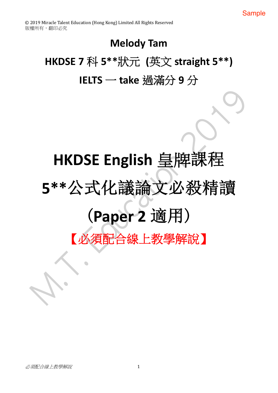# **Melody Tam**

# HKDSE 7 科 5\*\*狀元 (英文 straight 5\*\*) IELTS - take 過滿分 9 分

# HKDSE English 皇牌課 5\*\*公式化議論文必殺精讀 (Paper 2 適用) 【必須配合線上教學解說】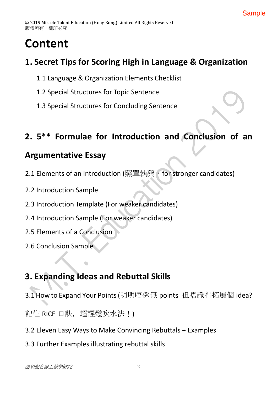# **Content**

### **1. Secret Tips for Scoring High in Language & Organization**

- 1.1 Language & Organization Elements Checklist
- 1.2 Special Structures for Topic Sentence
- 1.3 Special Structures for Concluding Sentence

### **2. 5\*\* Formulae for Introduction and Conclusion of an**

### **Argumentative Essay**

- 2.1 Elements of an Introduction (照單執藥, for stronger candidates)
- 2.2 Introduction Sample
- 2.3 Introduction Template (For weaker candidates)
- 2.4 Introduction Sample (For weaker candidates)
- 2.5 Elements of a Conclusion
- 2.6 Conclusion Sample

# **3. Expanding Ideas and Rebuttal Skills**

3.1 How to Expand Your Points (明明唔係無 points 但唔識得拓展個 idea?

記住 RICE 口訣,超輕鬆吹水法!)

- 3.2 Eleven Easy Ways to Make Convincing Rebuttals + Examples
- 3.3 Further Examples illustrating rebuttal skills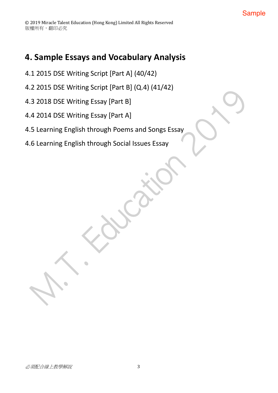### **4. Sample Essays and Vocabulary Analysis**

- 4.1 2015 DSE Writing Script [Part A] (40/42)
- 4.2 2015 DSE Writing Script [Part B] (Q.4) (41/42)
- 4.3 2018 DSE Writing Essay [Part B]
- 4.4 2014 DSE Writing Essay [Part A]
- 4.5 Learning English through Poems and Songs Essay
- 4.6 Learning English through Social Issues Essay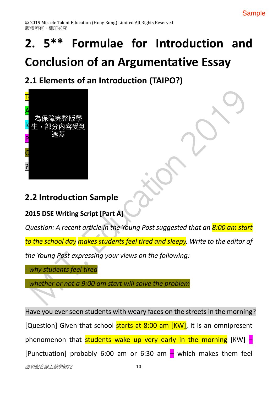# **2. 5\*\* Formulae for Introduction and Conclusion of an Argumentative Essay**

# **2.1 Elements of an Introduction (TAIPO?)**



### **2.2 Introduction Sample**

**2015 DSE Writing Script [Part A]**

*Question: A recent article in the Young Post suggested that an 8:00 am start*

*to the school day makes students feel tired and sleepy. Write to the editor of* 

*the Young Post expressing your views on the following:*

*- why students feel tired*

*- whether or not a 9:00 am start will solve the problem*

Have you ever seen students with weary faces on the streets in the morning? [Question] Given that school starts at 8:00 am [KW], it is an omnipresent phenomenon that students wake up very early in the morning  $KW$ ]  $-$ [Punctuation] probably 6:00 am or 6:30 am  $-$  which makes them feel

 $\mathcal{N}$ 須配合線上教學解説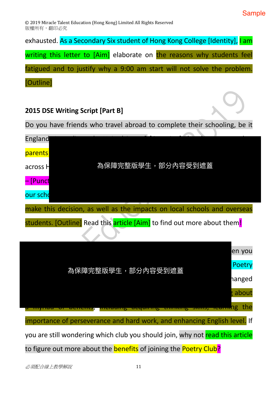© 2019 Miracle Talent Education (Hong Kong) Limited All Rights Reserved 版權所有,翻印必究

exhausted. As a Secondary Six student of Hong Kong College [Identity], I am

writing this letter to [Aim] elaborate on the reasons why students feel

fatigued and to justify why a 9:00 am start will not solve the problem.

[Outline]

### **2015 DSE Writing Script [Part B]**

Do you have friends who travel abroad to complete their schooling, be it



| en you                                                                          |
|---------------------------------------------------------------------------------|
| Poetry<br>為保障完整版學生,部分內容受到遮蓋<br>hanged                                           |
|                                                                                 |
| <b>Hearting</b> the                                                             |
| importance of perseverance and hard work, and enhancing English level. If       |
| you are still wondering which club you should join, why not read this article   |
| to figure out more about the <b>benefits</b> of joining the <b>Poetry Club?</b> |

 $\mathcal{N}$ 須配合線上教學解說 インファイル インタンド 11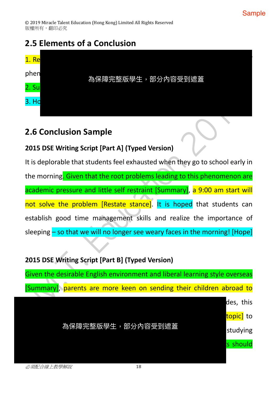# **2.5 Elements of a Conclusion**



### **2.6 Conclusion Sample**

### **2015 DSE Writing Script [Part A] (Typed Version)**

It is deplorable that students feel exhausted when they go to school early in the morning. Given that the root problems leading to this phenomenon are academic pressure and little self restraint [Summary], a 9:00 am start will not solve the problem [Restate stance]. It is hoped that students can establish good time management skills and realize the importance of sleeping - so that we will no longer see weary faces in the morning! [Hope]

### **2015 DSE Writing Script [Part B] (Typed Version)**

Given the desirable English environment and liberal learning style overseas [Summary], parents are more keen on sending their children abroad to

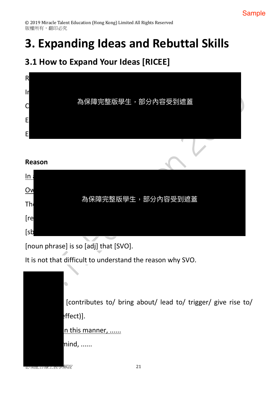# **3. Expanding Ideas and Rebuttal Skills**

### **3.1 How to Expand Your Ideas [RICEE]**



[noun phrase] is so [adj] that [SVO].

It is not that difficult to understand the reason why SVO.

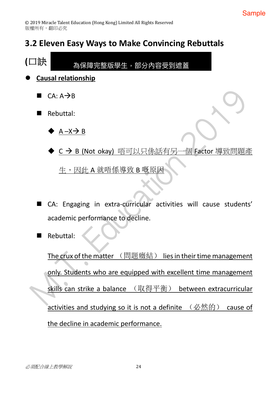# **3.2 Eleven Easy Ways to Make Convincing Rebuttals**



The crux of the matter  $(\mathbb{H}_k^{\mathbb{R}}\times\mathbb{R})$  lies in their time management only. Students who are equipped with excellent time management skills can strike a balance (取得平衡) between extracurricular activities and studying so it is not a definite  $(\nabla\mathcal{B}\nabla\mathcal{B})$  cause of the decline in academic performance.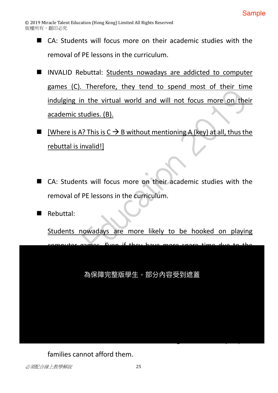- $\blacksquare$  CA: Students will focus more on their academic studies with the removal of PE lessons in the curriculum.
- INVALID Rebuttal: Students nowadays are addicted to computer games (C). Therefore, they tend to spend most of their time indulging in the virtual world and will not focus more on their academic studies. (B).
- **n** [Where is A? This is  $C \rightarrow B$  without mentioning A (key) at all, thus the rebuttal is invalid!]
- CA: Students will focus more on their academic studies with the removal of PE lessons in the curriculum.

 $\blacksquare$  Rebuttal:

Students nowadays are more likely to be hooked on playing computer games. Even if they have more spare time due to the 為保障完整版學生,部分內容受到遮蓋

families cannot afford them.

n Ca: Electronic books can cost students a large sum of money so poor money so poor money so poor money so po<br>The cost students a large sum of money so poor money so poor money so poor money so poor money so poor money s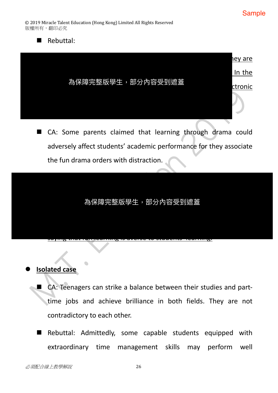$\blacksquare$  Rebuttal:



■ CA: Some parents claimed that learning through drama could adversely affect students' academic performance for they associate the fun drama orders with distraction.

 $\mathbf{F}$  learning could in fact be positively related to learning effects of the positively related to learning effects. 為保障完整版學生,部分內容受到遮蓋

saying that fun learning is averse to students' learning.

#### l **Isolated case**

- CA: Teenagers can strike a balance between their studies and parttime jobs and achieve brilliance in both fields. They are not contradictory to each other.
- Rebuttal: Admittedly, some capable students equipped with extraordinary time management skills may perform well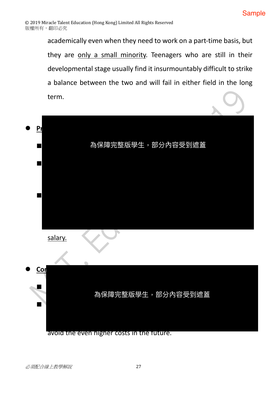academically even when they need to work on a part-time basis, but they are only a small minority. Teenagers who are still in their developmental stage usually find it insurmountably difficult to strike a balance between the two and will fail in either field in the long term.

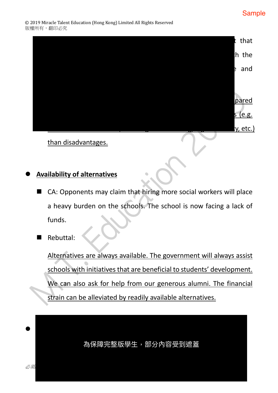

#### l **Availability of alternatives**

- $\blacksquare$  CA: Opponents may claim that hiring more social workers will place a heavy burden on the schools. The school is now facing a lack of funds.
- Rebuttal:

Alternatives are always available. The government will always assist schools with initiatives that are beneficial to students' development. We can also ask for help from our generous alumni. The financial strain can be alleviated by readily available alternatives.

為保障完整版學生,部分內容受到遮蓋

l **Remedy**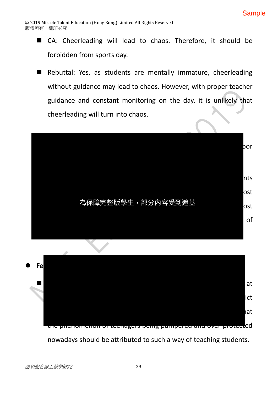- CA: Cheerleading will lead to chaos. Therefore, it should be forbidden from sports day.
- Rebuttal: Yes, as students are mentally immature, cheerleading without guidance may lead to chaos. However, with proper teacher guidance and constant monitoring on the day, it is unlikely that cheerleading will turn into chaos.





nowadays should be attributed to such a way of teaching students.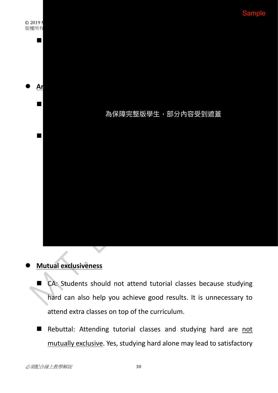

#### l **Mutual exclusiveness**

- CA: Students should not attend tutorial classes because studying hard can also help you achieve good results. It is unnecessary to attend extra classes on top of the curriculum.
- Rebuttal: Attending tutorial classes and studying hard are not mutually exclusive. Yes, studying hard alone may lead to satisfactory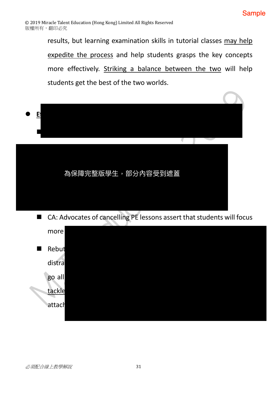results, but learning examination skills in tutorial classes may help expedite the process and help students grasps the key concepts more effectively. Striking a balance between the two will help students get the best of the two worlds.



■ CA: Advocates of cancelling PE lessons assert that students will focus

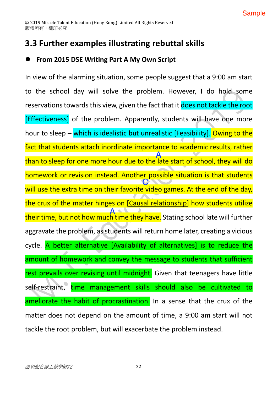### **3.3 Further examples illustrating rebuttal skills**

### l **From 2015 DSE Writing Part A My Own Script**

In view of the alarming situation, some people suggest that a 9:00 am start to the school day will solve the problem. However, I do hold some reservations towards this view, given the fact that it does not tackle the root [Effectiveness] of the problem. Apparently, students will have one more hour to sleep – which is idealistic but unrealistic [Feasibility]. Owing to the fact that students attach inordinate importance to academic results, rather than to sleep for one more hour due to the late start of school, they will do homework or revision instead. Another possible situation is that students will use the extra time on their favorite video games. At the end of the day, the crux of the matter hinges on [Causal relationship] how students utilize their time, but not how much time they have. Stating school late will further aggravate the problem, as students will return home later, creating a vicious cycle. A better alternative [Availability of alternatives] is to reduce the amount of homework and convey the message to students that sufficient rest prevails over revising until midnight. Given that teenagers have little self-restraint, time management skills should also be cultivated to ameliorate the habit of procrastination. In a sense that the crux of the matter does not depend on the amount of time, a 9:00 am start will not tackle the root problem, but will exacerbate the problem instead. A A C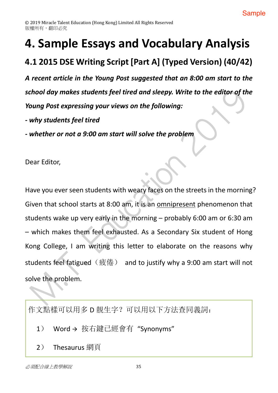# 4. Sample Essays and Vocabulary Analysis

# 4.1 2015 DSE Writing Script [Part A] (Typed Version) (40/42)

A recent article in the Young Post suggested that an 8:00 am start to the school day makes students feel tired and sleepy. Write to the editor of the Young Post expressing your views on the following:

- why students feel tired

- whether or not a 9:00 am start will solve the problem

Dear Editor,

Have you ever seen students with weary faces on the streets in the morning? Given that school starts at 8:00 am, it is an omnipresent phenomenon that students wake up very early in the morning  $-$  probably 6:00 am or 6:30 am - which makes them feel exhausted. As a Secondary Six student of Hong Kong College, I am writing this letter to elaborate on the reasons why students feel fatigued (疲倦) and to justify why a 9:00 am start will not solve the problem.

作文點樣可以用多 D 靚生字? 可以用以下方法查同義詞:

- Word→ 按右鍵已經會有"Svnonyms"  $1)$
- $2)$

必須配合線 上教學解說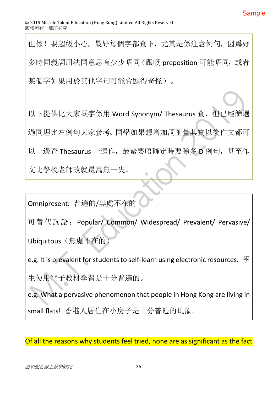但係! 要超級小心, 最好每個字都杳下, 尤其是係注意例句, 因爲好 多時同義詞用法同意思有少少唔同(跟嘅 preposition 可能唔同, 或者 某個字如果用於其他字句可能會顯得奇怪)。

以下提供比大家嘅字係用 Word Synonym/ Thesaurus 查, 但已經篩選 過同埋比左例句大家參考。同學如果想增加詞匯量其實以後作文都可 以一邊查 Thesaurus 一邊作, 最緊要唔確定時要睇多 D 例句, 甚至作 文比學校老師改就最萬無一失。

Omnipresent: 普遍的/無處不在的

可替代詞語: Popular/ Common/ Widespread/ Prevalent/ Pervasive/

Ubiquitous (無處不在的)

e.g. It is prevalent for students to self-learn using electronic resources. 學 生使用雷子教材學習是十分普遍的。

e.g. What a pervasive phenomenon that people in Hong Kong are living in small flats! 香港人居住在小房子是十分普遍的現象。

Of all the reasons why students feel tried, none are as significant as the fact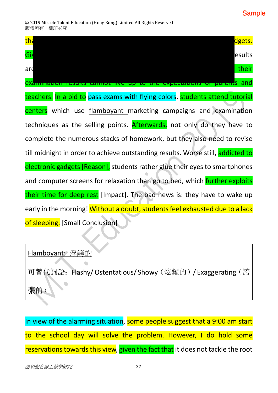#### **Sample**

| th:<br>dgets.                                                                   |
|---------------------------------------------------------------------------------|
| Giv<br>esults                                                                   |
| their<br>are                                                                    |
| esunts cannot nve up to the expectations or parents and<br><b>exammat</b>       |
| teachers. In a bid to pass exams with flying colors, students attend tutorial   |
| centers which use flamboyant marketing campaigns and examination                |
| techniques as the selling points. Afterwards, not only do they have to          |
| complete the numerous stacks of homework, but they also need to revise          |
| till midnight in order to achieve outstanding results. Worse still, addicted to |
| electronic gadgets [Reason], students rather glue their eyes to smartphones     |
| and computer screens for relaxation than go to bed, which further exploits      |
| their time for deep rest [Impact]. The bad news is: they have to wake up        |
| early in the morning! Without a doubt, students feel exhausted due to a lack    |
| of sleeping. [Small Conclusion]                                                 |

### Flamboyant: 浮誇的

可替代詞語: Flashy/ Ostentatious/ Showy (炫耀的) / Exaggerating (誇  $\blacksquare$ 張的

In view of the alarming situation, some people suggest that a 9:00 am start to the school day will solve the problem. However, I do hold some reservations towards this view, given the fact that it does not tackle the root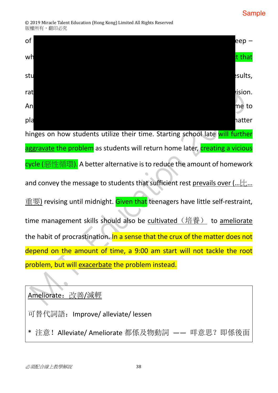#### **Sample**

© 2019 Miracle Talent Education (Hong Kong) Limited All Rights Reserved 版權所有,翻印必究



### Ameliorate: 改善/減輕

可替代詞語: Improve/ alleviate/ lessen

\* 注意! Alleviate/ Ameliorate 都係及物動詞 —— 咩意思? 即係後面